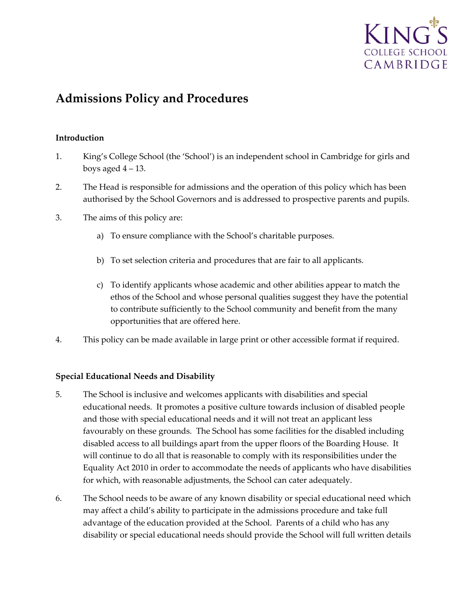

# **Admissions Policy and Procedures**

# **Introduction**

- 1. King's College School (the 'School') is an independent school in Cambridge for girls and boys aged  $4 - 13$ .
- 2. The Head is responsible for admissions and the operation of this policy which has been authorised by the School Governors and is addressed to prospective parents and pupils.
- 3. The aims of this policy are:
	- a) To ensure compliance with the School's charitable purposes.
	- b) To set selection criteria and procedures that are fair to all applicants.
	- c) To identify applicants whose academic and other abilities appear to match the ethos of the School and whose personal qualities suggest they have the potential to contribute sufficiently to the School community and benefit from the many opportunities that are offered here.
- 4. This policy can be made available in large print or other accessible format if required.

# **Special Educational Needs and Disability**

- 5. The School is inclusive and welcomes applicants with disabilities and special educational needs. It promotes a positive culture towards inclusion of disabled people and those with special educational needs and it will not treat an applicant less favourably on these grounds. The School has some facilities for the disabled including disabled access to all buildings apart from the upper floors of the Boarding House. It will continue to do all that is reasonable to comply with its responsibilities under the Equality Act 2010 in order to accommodate the needs of applicants who have disabilities for which, with reasonable adjustments, the School can cater adequately.
- 6. The School needs to be aware of any known disability or special educational need which may affect a child's ability to participate in the admissions procedure and take full advantage of the education provided at the School. Parents of a child who has any disability or special educational needs should provide the School will full written details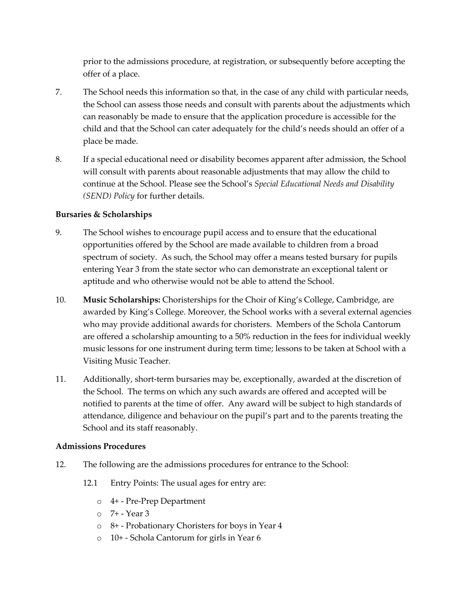prior to the admissions procedure, at registration, or subsequently before accepting the offer of a place.

- 7. The School needs this information so that, in the case of any child with particular needs, the School can assess those needs and consult with parents about the adjustments which can reasonably be made to ensure that the application procedure is accessible for the child and that the School can cater adequately for the child's needs should an offer of a place be made.
- 8. If a special educational need or disability becomes apparent after admission, the School will consult with parents about reasonable adjustments that may allow the child to continue at the School. Please see the School's *Special Educational Needs and Disability (SEND) Policy* for further details.

# **Bursaries & Scholarships**

- 9. The School wishes to encourage pupil access and to ensure that the educational opportunities offered by the School are made available to children from a broad spectrum of society. As such, the School may offer a means tested bursary for pupils entering Year 3 from the state sector who can demonstrate an exceptional talent or aptitude and who otherwise would not be able to attend the School.
- 10. **Music Scholarships:** Choristerships for the Choir of King's College, Cambridge, are awarded by King's College. Moreover, the School works with a several external agencies who may provide additional awards for choristers. Members of the Schola Cantorum are offered a scholarship amounting to a 50% reduction in the fees for individual weekly music lessons for one instrument during term time; lessons to be taken at School with a Visiting Music Teacher.
- 11. Additionally, short-term bursaries may be, exceptionally, awarded at the discretion of the School. The terms on which any such awards are offered and accepted will be notified to parents at the time of offer. Any award will be subject to high standards of attendance, diligence and behaviour on the pupil's part and to the parents treating the School and its staff reasonably.

# **Admissions Procedures**

- 12. The following are the admissions procedures for entrance to the School:
	- 12.1 Entry Points: The usual ages for entry are:
		- o 4+ Pre-Prep Department
		- $\circ$  7+ Year 3
		- o 8+ Probationary Choristers for boys in Year 4
		- o 10+ Schola Cantorum for girls in Year 6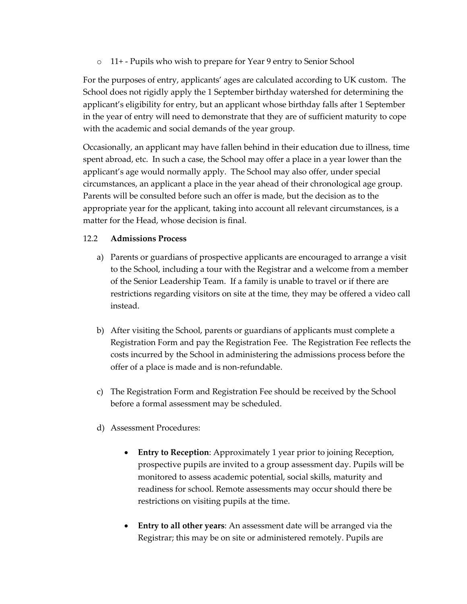o 11+ - Pupils who wish to prepare for Year 9 entry to Senior School

For the purposes of entry, applicants' ages are calculated according to UK custom. The School does not rigidly apply the 1 September birthday watershed for determining the applicant's eligibility for entry, but an applicant whose birthday falls after 1 September in the year of entry will need to demonstrate that they are of sufficient maturity to cope with the academic and social demands of the year group.

Occasionally, an applicant may have fallen behind in their education due to illness, time spent abroad, etc. In such a case, the School may offer a place in a year lower than the applicant's age would normally apply. The School may also offer, under special circumstances, an applicant a place in the year ahead of their chronological age group. Parents will be consulted before such an offer is made, but the decision as to the appropriate year for the applicant, taking into account all relevant circumstances, is a matter for the Head, whose decision is final.

# 12.2 **Admissions Process**

- a) Parents or guardians of prospective applicants are encouraged to arrange a visit to the School, including a tour with the Registrar and a welcome from a member of the Senior Leadership Team. If a family is unable to travel or if there are restrictions regarding visitors on site at the time, they may be offered a video call instead.
- b) After visiting the School, parents or guardians of applicants must complete a Registration Form and pay the Registration Fee. The Registration Fee reflects the costs incurred by the School in administering the admissions process before the offer of a place is made and is non-refundable.
- c) The Registration Form and Registration Fee should be received by the School before a formal assessment may be scheduled.
- d) Assessment Procedures:
	- **Entry to Reception**: Approximately 1 year prior to joining Reception, prospective pupils are invited to a group assessment day. Pupils will be monitored to assess academic potential, social skills, maturity and readiness for school. Remote assessments may occur should there be restrictions on visiting pupils at the time.
	- **Entry to all other years**: An assessment date will be arranged via the Registrar; this may be on site or administered remotely. Pupils are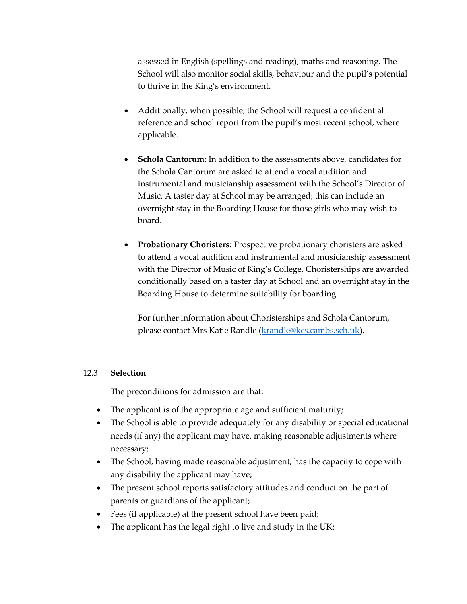assessed in English (spellings and reading), maths and reasoning. The School will also monitor social skills, behaviour and the pupil's potential to thrive in the King's environment.

- Additionally, when possible, the School will request a confidential reference and school report from the pupil's most recent school, where applicable.
- **Schola Cantorum**: In addition to the assessments above, candidates for the Schola Cantorum are asked to attend a vocal audition and instrumental and musicianship assessment with the School's Director of Music. A taster day at School may be arranged; this can include an overnight stay in the Boarding House for those girls who may wish to board.
- **Probationary Choristers**: Prospective probationary choristers are asked to attend a vocal audition and instrumental and musicianship assessment with the Director of Music of King's College. Choristerships are awarded conditionally based on a taster day at School and an overnight stay in the Boarding House to determine suitability for boarding.

For further information about Choristerships and Schola Cantorum, please contact Mrs Katie Randle (krandle@kcs.cambs.sch.uk).

## 12.3 **Selection**

The preconditions for admission are that:

- The applicant is of the appropriate age and sufficient maturity;
- The School is able to provide adequately for any disability or special educational needs (if any) the applicant may have, making reasonable adjustments where necessary;
- The School, having made reasonable adjustment, has the capacity to cope with any disability the applicant may have;
- The present school reports satisfactory attitudes and conduct on the part of parents or guardians of the applicant;
- Fees (if applicable) at the present school have been paid;
- The applicant has the legal right to live and study in the UK;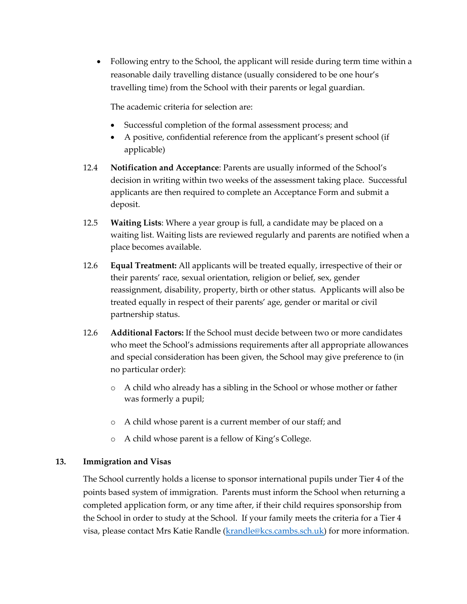• Following entry to the School, the applicant will reside during term time within a reasonable daily travelling distance (usually considered to be one hour's travelling time) from the School with their parents or legal guardian.

The academic criteria for selection are:

- Successful completion of the formal assessment process; and
- A positive, confidential reference from the applicant's present school (if applicable)
- 12.4 **Notification and Acceptance**: Parents are usually informed of the School's decision in writing within two weeks of the assessment taking place. Successful applicants are then required to complete an Acceptance Form and submit a deposit.
- 12.5 **Waiting Lists**: Where a year group is full, a candidate may be placed on a waiting list. Waiting lists are reviewed regularly and parents are notified when a place becomes available.
- 12.6 **Equal Treatment:** All applicants will be treated equally, irrespective of their or their parents' race, sexual orientation, religion or belief, sex, gender reassignment, disability, property, birth or other status. Applicants will also be treated equally in respect of their parents' age, gender or marital or civil partnership status.
- 12.6 **Additional Factors:** If the School must decide between two or more candidates who meet the School's admissions requirements after all appropriate allowances and special consideration has been given, the School may give preference to (in no particular order):
	- o A child who already has a sibling in the School or whose mother or father was formerly a pupil;
	- o A child whose parent is a current member of our staff; and
	- o A child whose parent is a fellow of King's College.

# **13. Immigration and Visas**

The School currently holds a license to sponsor international pupils under Tier 4 of the points based system of immigration. Parents must inform the School when returning a completed application form, or any time after, if their child requires sponsorship from the School in order to study at the School. If your family meets the criteria for a Tier 4 visa, please contact Mrs Katie Randle (krandle@kcs.cambs.sch.uk) for more information.